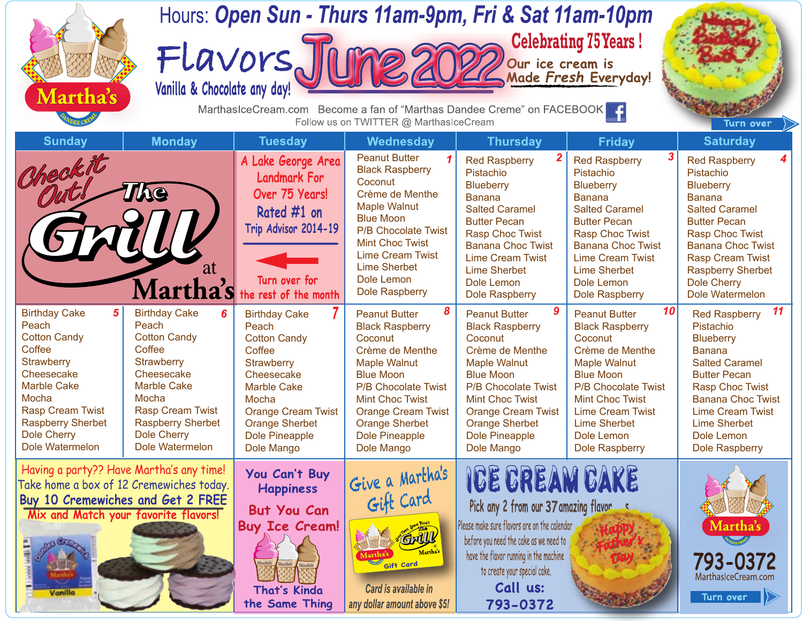| Martha's                                                                                                                                                                                                                              |                                                                                                                                                                                                                                       | Hours: Open Sun - Thurs 11am-9pm, Fri & Sat 11am-10pm<br><b>Celebrating 75 Years!</b><br>FLavors Jume 2022<br>our ice cream is<br>Made Fresh Everyday!<br>MarthasIceCream.com Become a fan of "Marthas Dandee Creme" on FACEBOOK |                                                                                                                                                                                                                                                                                   |                                                                                                                                                                                                                                                                            |                                                                                                                                                                                                                                                                                |                                                                                                                                                                                                                                                                                   |  |  |  |  |  |
|---------------------------------------------------------------------------------------------------------------------------------------------------------------------------------------------------------------------------------------|---------------------------------------------------------------------------------------------------------------------------------------------------------------------------------------------------------------------------------------|----------------------------------------------------------------------------------------------------------------------------------------------------------------------------------------------------------------------------------|-----------------------------------------------------------------------------------------------------------------------------------------------------------------------------------------------------------------------------------------------------------------------------------|----------------------------------------------------------------------------------------------------------------------------------------------------------------------------------------------------------------------------------------------------------------------------|--------------------------------------------------------------------------------------------------------------------------------------------------------------------------------------------------------------------------------------------------------------------------------|-----------------------------------------------------------------------------------------------------------------------------------------------------------------------------------------------------------------------------------------------------------------------------------|--|--|--|--|--|
| <b>Sunday</b>                                                                                                                                                                                                                         | <b>Monday</b>                                                                                                                                                                                                                         | <b>Tuesday</b>                                                                                                                                                                                                                   | Follow us on TWITTER @ MarthasIceCream<br>Wednesday                                                                                                                                                                                                                               | <b>Thursday</b>                                                                                                                                                                                                                                                            | <b>Friday</b>                                                                                                                                                                                                                                                                  | Turn over<br><b>Saturday</b>                                                                                                                                                                                                                                                      |  |  |  |  |  |
| Checkit                                                                                                                                                                                                                               | The<br>at<br>Martha's                                                                                                                                                                                                                 | A Lake George Area<br><b>Landmark For</b><br>Over 75 Years!<br>Rated #1 on<br>Trip Advisor 2014-19<br>Turn over for<br>the rest of the month                                                                                     | <b>Peanut Butter</b><br><b>Black Raspberry</b><br>Coconut<br>Crème de Menthe<br><b>Maple Walnut</b><br><b>Blue Moon</b><br>P/B Chocolate Twist<br><b>Mint Choc Twist</b><br><b>Lime Cream Twist</b><br><b>Lime Sherbet</b><br>Dole Lemon<br><b>Dole Raspberry</b>                 | <b>Red Raspberry</b><br>Pistachio<br><b>Blueberry</b><br><b>Banana</b><br><b>Salted Caramel</b><br><b>Butter Pecan</b><br><b>Rasp Choc Twist</b><br><b>Banana Choc Twist</b><br><b>Lime Cream Twist</b><br><b>Lime Sherbet</b><br>Dole Lemon<br><b>Dole Raspberry</b>      | 3<br><b>Red Raspberry</b><br>Pistachio<br><b>Blueberry</b><br><b>Banana</b><br><b>Salted Caramel</b><br><b>Butter Pecan</b><br><b>Rasp Choc Twist</b><br><b>Banana Choc Twist</b><br><b>Lime Cream Twist</b><br><b>Lime Sherbet</b><br>Dole Lemon<br><b>Dole Raspberry</b>     | 4<br><b>Red Raspberry</b><br>Pistachio<br><b>Blueberry</b><br><b>Banana</b><br><b>Salted Caramel</b><br><b>Butter Pecan</b><br><b>Rasp Choc Twist</b><br><b>Banana Choc Twist</b><br><b>Rasp Cream Twist</b><br><b>Raspberry Sherbet</b><br><b>Dole Cherry</b><br>Dole Watermelon |  |  |  |  |  |
| 5<br><b>Birthday Cake</b><br>Peach<br><b>Cotton Candy</b><br>Coffee<br><b>Strawberry</b><br>Cheesecake<br><b>Marble Cake</b><br>Mocha<br><b>Rasp Cream Twist</b><br><b>Raspberry Sherbet</b><br><b>Dole Cherry</b><br>Dole Watermelon | <b>Birthday Cake</b><br>6<br>Peach<br><b>Cotton Candy</b><br>Coffee<br><b>Strawberry</b><br>Cheesecake<br><b>Marble Cake</b><br>Mocha<br><b>Rasp Cream Twist</b><br><b>Raspberry Sherbet</b><br><b>Dole Cherry</b><br>Dole Watermelon | <b>Birthday Cake</b><br>Peach<br><b>Cotton Candy</b><br>Coffee<br><b>Strawberry</b><br>Cheesecake<br><b>Marble Cake</b><br>Mocha<br><b>Orange Cream Twist</b><br><b>Orange Sherbet</b><br>Dole Pineapple<br>Dole Mango           | 8<br><b>Peanut Butter</b><br><b>Black Raspberry</b><br>Coconut<br>Crème de Menthe<br><b>Maple Walnut</b><br><b>Blue Moon</b><br><b>P/B Chocolate Twist</b><br><b>Mint Choc Twist</b><br><b>Orange Cream Twist</b><br><b>Orange Sherbet</b><br><b>Dole Pineapple</b><br>Dole Mango | 9<br><b>Peanut Butter</b><br><b>Black Raspberry</b><br>Coconut<br>Crème de Menthe<br><b>Maple Walnut</b><br><b>Blue Moon</b><br><b>P/B Chocolate Twist</b><br><b>Mint Choc Twist</b><br><b>Orange Cream Twist</b><br><b>Orange Sherbet</b><br>Dole Pineapple<br>Dole Mango | 10<br><b>Peanut Butter</b><br><b>Black Raspberry</b><br>Coconut<br>Crème de Menthe<br><b>Maple Walnut</b><br><b>Blue Moon</b><br><b>P/B Chocolate Twist</b><br><b>Mint Choc Twist</b><br><b>Lime Cream Twist</b><br><b>Lime Sherbet</b><br>Dole Lemon<br><b>Dole Raspberry</b> | 11<br><b>Red Raspberry</b><br>Pistachio<br><b>Blueberry</b><br><b>Banana</b><br><b>Salted Caramel</b><br><b>Butter Pecan</b><br><b>Rasp Choc Twist</b><br><b>Banana Choc Twist</b><br><b>Lime Cream Twist</b><br>Lime Sherbet<br>Dole Lemon<br>Dole Raspberry                     |  |  |  |  |  |
| Having a party?? Have Martha's any time!<br>Take home a box of 12 Cremewiches today.<br>Buy 10 Cremewiches and Get 2 FREE<br>Mix and Match your favorite flavors!<br>Vanille                                                          |                                                                                                                                                                                                                                       | You Can't Buy<br><b>Happiness</b><br><b>But You Can</b><br><b>Buy Ice Cream!</b><br><b>That's Kinda</b><br>the Same Thing                                                                                                        | Give a Martha's<br>Grill<br>Gift Card<br>Card is available in<br>any dollar amount above \$5!                                                                                                                                                                                     | ICE CREAM CAKE<br>Pick any 2 from our 37 amazing flavor<br>Please make sure flavors are on the calendar<br>before you need the cake as we need to<br>have the flavor running in the machine<br>to create your special cake.<br>Call us:<br>793-0372                        |                                                                                                                                                                                                                                                                                | Martha's<br>793-0372<br>MarthasIceCream.com<br>Turn over                                                                                                                                                                                                                          |  |  |  |  |  |